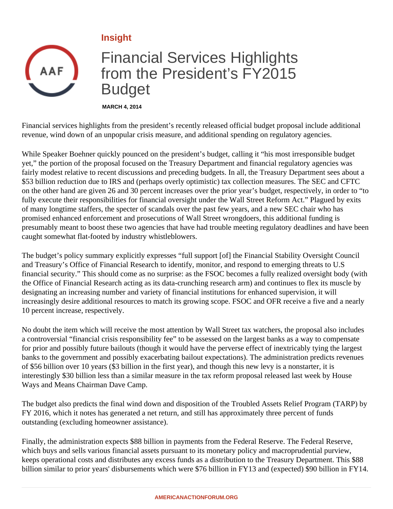## **Insight**



## Financial Services Highlights from the President's FY2015 Budget

**MARCH 4, 2014**

Financial services highlights from the president's recently released official budget proposal include additional revenue, wind down of an unpopular crisis measure, and additional spending on regulatory agencies.

While Speaker Boehner quickly pounced on the president's budget, calling it "his most irresponsible budget yet," the portion of the proposal focused on the Treasury Department and financial regulatory agencies was fairly modest relative to recent discussions and preceding budgets. In all, the Treasury Department sees about a \$53 billion reduction due to IRS and (perhaps overly optimistic) tax collection measures. The SEC and CFTC on the other hand are given 26 and 30 percent increases over the prior year's budget, respectively, in order to "to fully execute their responsibilities for financial oversight under the Wall Street Reform Act." Plagued by exits of many longtime staffers, the specter of scandals over the past few years, and a new SEC chair who has promised enhanced enforcement and prosecutions of Wall Street wrongdoers, this additional funding is presumably meant to boost these two agencies that have had trouble meeting regulatory deadlines and have been caught somewhat flat-footed by industry whistleblowers.

The budget's policy summary explicitly expresses "full support [of] the Financial Stability Oversight Council and Treasury's Office of Financial Research to identify, monitor, and respond to emerging threats to U.S financial security." This should come as no surprise: as the FSOC becomes a fully realized oversight body (with the Office of Financial Research acting as its data-crunching research arm) and continues to flex its muscle by designating an increasing number and variety of financial institutions for enhanced supervision, it will increasingly desire additional resources to match its growing scope. FSOC and OFR receive a five and a nearly 10 percent increase, respectively.

No doubt the item which will receive the most attention by Wall Street tax watchers, the proposal also includes a controversial "financial crisis responsibility fee" to be assessed on the largest banks as a way to compensate for prior and possibly future bailouts (though it would have the perverse effect of inextricably tying the largest banks to the government and possibly exacerbating bailout expectations). The administration predicts revenues of \$56 billion over 10 years (\$3 billion in the first year), and though this new levy is a nonstarter, it is interestingly \$30 billion less than a similar measure in the tax reform proposal released last week by House Ways and Means Chairman Dave Camp.

The budget also predicts the final wind down and disposition of the Troubled Assets Relief Program (TARP) by FY 2016, which it notes has generated a net return, and still has approximately three percent of funds outstanding (excluding homeowner assistance).

Finally, the administration expects \$88 billion in payments from the Federal Reserve. The Federal Reserve, which buys and sells various financial assets pursuant to its monetary policy and macroprudential purview, keeps operational costs and distributes any excess funds as a distribution to the Treasury Department. This \$88 billion similar to prior years' disbursements which were \$76 billion in FY13 and (expected) \$90 billion in FY14.